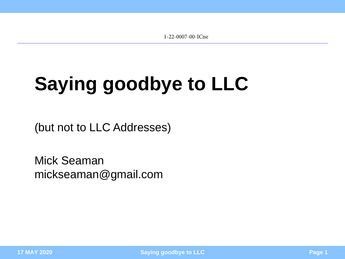1-22-0007-00-ICne

# <span id="page-0-0"></span>**Saying goodbye to LLC**

(but not to LLC Addresses)

Mick Seaman mickseaman@gmail.com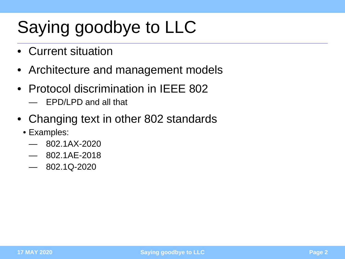## Saying goodbye to LLC

- Current situation
- Architecture and management models
- Protocol discrimination in IEEE 802
	- EPD/LPD and all that
- Changing text in other 802 standards
	- Examples:
		- 802.1AX-2020
		- 802.1AE-2018
		- $-802.1Q-2020$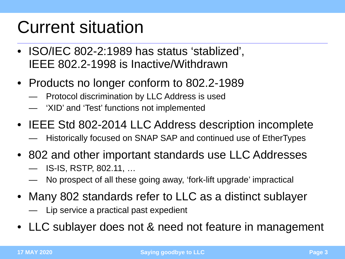## Current situation

- ISO/IEC 802-2:1989 has status 'stablized', IEEE 802.2-1998 is Inactive/Withdrawn
- Products no longer conform to 802.2-1989
	- Protocol discrimination by LLC Address is used
	- 'XID' and 'Test' functions not implemented
- IEEE Std 802-2014 LLC Address description incomplete
	- Historically focused on SNAP SAP and continued use of EtherTypes
- 802 and other important standards use LLC Addresses
	- IS-IS, RSTP, 802.11, …
	- No prospect of all these going away, 'fork-lift upgrade' impractical
- Many 802 standards refer to LLC as a distinct sublayer

— Lip service a practical past expedient

• LLC sublayer does not & need not feature in management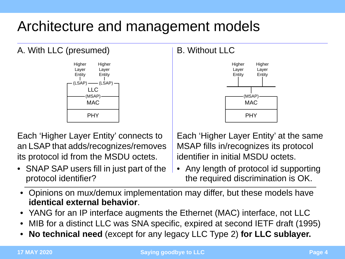#### Architecture and management models

#### A. With LLC (presumed)



Each 'Higher Layer Entity' connects to an LSAP that adds/recognizes/removes its protocol id from the MSDU octets.

• SNAP SAP users fill in just part of the protocol identifier?

#### B. Without LLC



Each 'Higher Layer Entity' at the same MSAP fills in/recognizes its protocol identifier in initial MSDU octets.

- Any length of protocol id supporting the required discrimination is OK.
- Opinions on mux/demux implementation may differ, but these models have **identical external behavior**.
- YANG for an IP interface augments the Ethernet (MAC) interface, not LLC
- MIB for a distinct LLC was SNA specific, expired at second IETF draft (1995)
- **No technical need** (except for any legacy LLC Type 2) **for LLC sublayer.**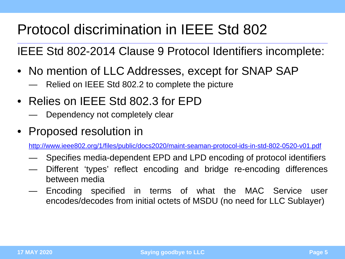### Protocol discrimination in IEEE Std 802

IEEE Std 802-2014 Clause 9 Protocol Identifiers incomplete:

- No mention of LLC Addresses, except for SNAP SAP
	- Relied on IEEE Std 802.2 to complete the picture
- Relies on IEEE Std 802.3 for EPD
	- Dependency not completely clear
- Proposed resolution in

http://www.ieee802.org/1/files/public/docs2020/maint-seaman-protocol-ids-in-std-802-0520-v01.pdf

- Specifies media-dependent EPD and LPD encoding of protocol identifiers
- Different 'types' reflect encoding and bridge re-encoding differences between media
- Encoding specified in terms of what the MAC Service user encodes/decodes from initial octets of MSDU (no need for LLC Sublayer)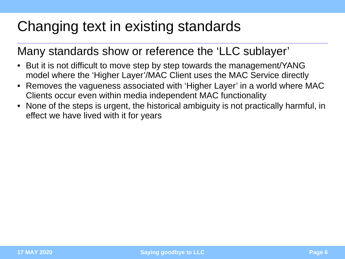#### Changing text in existing standards

#### Many standards show or reference the 'LLC sublayer'

- But it is not difficult to move step by step towards the management/YANG model where the 'Higher Layer'/MAC Client uses the MAC Service directly
- Removes the vagueness associated with 'Higher Layer' in a world where MAC Clients occur even within media independent MAC functionality
- None of the steps is urgent, the historical ambiguity is not practically harmful, in effect we have lived with it for years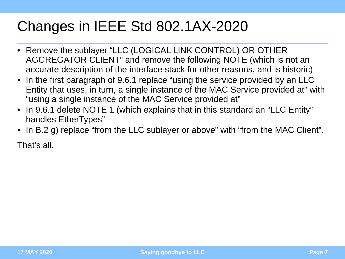### Changes in IEEE Std 802.1AX-2020

- Remove the sublayer "LLC (LOGICAL LINK CONTROL) OR OTHER AGGREGATOR CLIENT" and remove the following NOTE (which is not an accurate description of the interface stack for other reasons, and is historic)
- In the first paragraph of 9.6.1 replace "using the service provided by an LLC Entity that uses, in turn, a single instance of the MAC Service provided at" with "using a single instance of the MAC Service provided at"
- In 9.6.1 delete NOTE 1 (which explains that in this standard an "LLC Entity" handles EtherTypes"
- In B.2 g) replace "from the LLC sublayer or above" with "from the MAC Client".

That's all.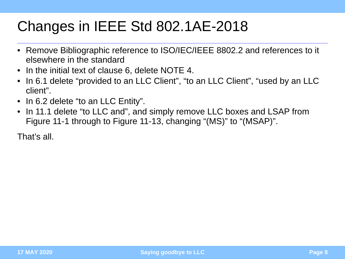#### Changes in IEEE Std 802.1AE-2018

- Remove Bibliographic reference to ISO/IEC/IEEE 8802.2 and references to it elsewhere in the standard
- In the initial text of clause 6, delete NOTE 4.
- In 6.1 delete "provided to an LLC Client", "to an LLC Client", "used by an LLC client".
- In 6.2 delete "to an LLC Entity".
- In 11.1 delete "to LLC and", and simply remove LLC boxes and LSAP from Figure 11-1 through to Figure 11-13, changing "(MS)" to "(MSAP)".

That's all.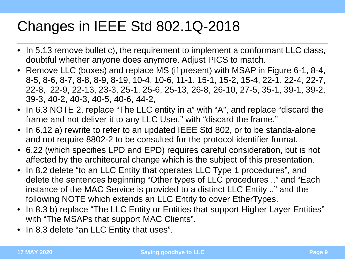### Changes in IEEE Std 802.1Q-2018

- In 5.13 remove bullet c), the requirement to implement a conformant LLC class, doubtful whether anyone does anymore. Adjust PICS to match.
- Remove LLC (boxes) and replace MS (if present) with MSAP in Figure 6-1, 8-4, 8-5, 8-6, 8-7, 8-8, 8-9, 8-19, 10-4, 10-6, 11-1, 15-1, 15-2, 15-4, 22-1, 22-4, 22-7, 22-8, 22-9, 22-13, 23-3, 25-1, 25-6, 25-13, 26-8, 26-10, 27-5, 35-1, 39-1, 39-2, 39-3, 40-2, 40-3, 40-5, 40-6, 44-2,
- In 6.3 NOTE 2, replace "The LLC entity in a" with "A", and replace "discard the frame and not deliver it to any LLC User." with "discard the frame."
- In 6.12 a) rewrite to refer to an updated IEEE Std 802, or to be standa-alone and not require 8802-2 to be consulted for the protocol identifier format.
- 6.22 (which specifies LPD and EPD) requires careful consideration, but is not affected by the architecural change which is the subject of this presentation.
- In 8.2 delete "to an LLC Entity that operates LLC Type 1 procedures", and delete the sentences beginning "Other types of LLC procedures .." and "Each instance of the MAC Service is provided to a distinct LLC Entity .." and the following NOTE which extends an LLC Entity to cover EtherTypes.
- In 8.3 b) replace "The LLC Entity or Entities that support Higher Layer Entities" with "The MSAPs that support MAC Clients".
- In 8.3 delete "an LLC Entity that uses".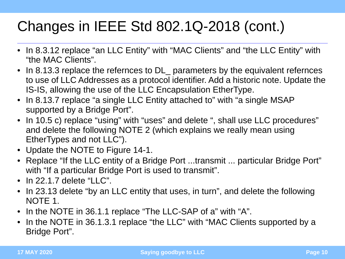### Changes in IEEE Std 802.1Q-2018 (cont.)

- In 8.3.12 replace "an LLC Entity" with "MAC Clients" and "the LLC Entity" with "the MAC Clients".
- In 8.13.3 replace the refernces to DL parameters by the equivalent refernces to use of LLC Addresses as a protocol identifier. Add a historic note. Update the IS-IS, allowing the use of the LLC Encapsulation EtherType.
- In 8.13.7 replace "a single LLC Entity attached to" with "a single MSAP supported by a Bridge Port".
- In 10.5 c) replace "using" with "uses" and delete ", shall use LLC procedures" and delete the following NOTE 2 (which explains we really mean using EtherTypes and not LLC").
- Update the NOTE to Figure 14-1.
- Replace "If the LLC entity of a Bridge Port ...transmit ... particular Bridge Port" with "If a particular Bridge Port is used to transmit".
- $\bullet$  In 22.1.7 delete "LLC".
- In 23.13 delete "by an LLC entity that uses, in turn", and delete the following NOTE 1.
- In the NOTE in 36.1.1 replace "The LLC-SAP of a" with "A".
- In the NOTE in 36.1.3.1 replace "the LLC" with "MAC Clients supported by a Bridge Port".